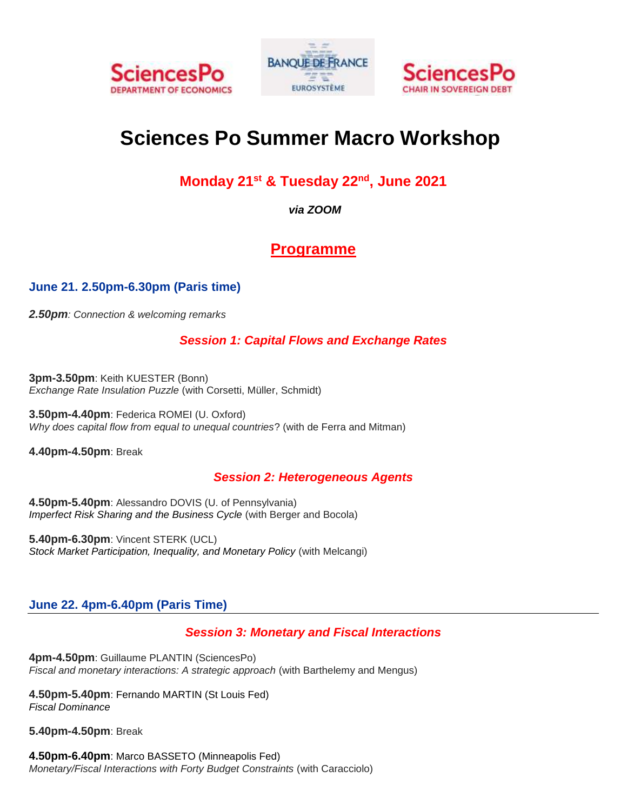





# **Sciences Po Summer Macro Workshop**

### **Monday 21st & Tuesday 22nd , June 2021**

*via ZOOM*

## **Programme**

#### **June 21. 2.50pm-6.30pm (Paris time)**

*2.50pm: Connection & welcoming remarks* 

#### *Session 1: Capital Flows and Exchange Rates*

**3pm-3.50pm**: Keith KUESTER (Bonn) *Exchange Rate Insulation Puzzle* (with Corsetti, Müller, Schmidt)

**3.50pm-4.40pm**: Federica ROMEI (U. Oxford) *Why does capital flow from equal to unequal countries*? (with de Ferra and Mitman)

**4.40pm-4.50pm**: Break

#### *Session 2: Heterogeneous Agents*

**4.50pm-5.40pm**: Alessandro DOVIS (U. of Pennsylvania) *[Imperfect Risk Sharing and the Business Cycle](https://www.alessandrodovis.com/uploads/2/3/1/2/23125624/risk_sharing.pdf)* (with Berger and Bocola)

**5.40pm-6.30pm**: Vincent STERK (UCL) *[Stock Market Participation, Inequality, and Monetary Policy](http://www.homepages.ucl.ac.uk/~uctpvst/Melcangi_Sterk2019.pdf)* (with Melcangi)

#### **June 22. 4pm-6.40pm (Paris Time)**

#### *Session 3: Monetary and Fiscal Interactions*

**4pm-4.50pm**: Guillaume PLANTIN (SciencesPo) *Fiscal and monetary interactions: A strategic approach* (with Barthelemy and Mengus)

**4.50pm-5.40pm**: Fernando MARTIN (St Louis Fed) *[Fiscal Dominance](https://research.stlouisfed.org/wp/more/2020-040)*

**5.40pm-4.50pm**: Break

**4.50pm-6.40pm**: Marco BASSETO (Minneapolis Fed) *Monetary/Fiscal Interactions with Forty Budget Constraints* (with Caracciolo)